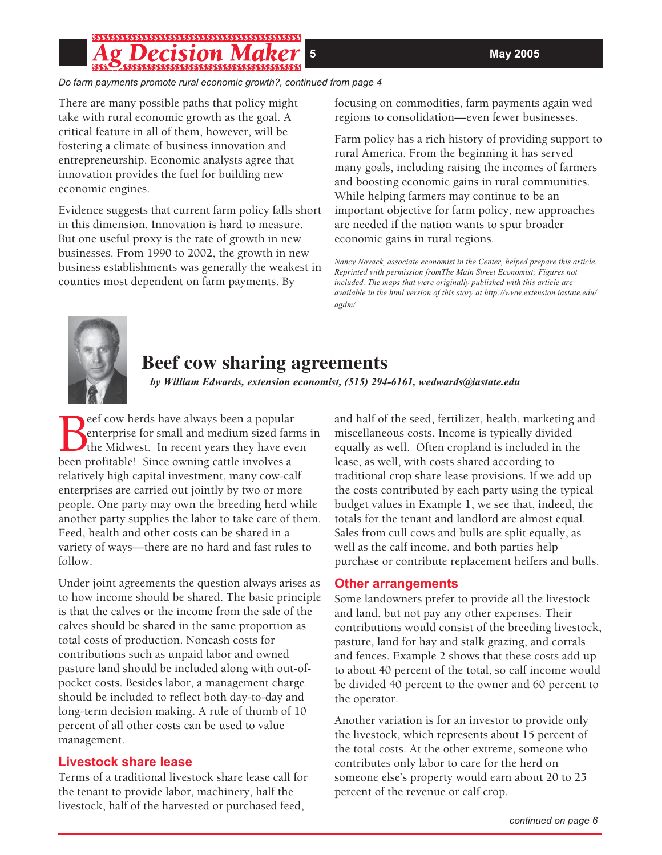*Do farm payments promote rural economic growth?, continued from page 4*

There are many possible paths that policy might take with rural economic growth as the goal. A critical feature in all of them, however, will be fostering a climate of business innovation and entrepreneurship. Economic analysts agree that innovation provides the fuel for building new economic engines.

Evidence suggests that current farm policy falls short in this dimension. Innovation is hard to measure. But one useful proxy is the rate of growth in new businesses. From 1990 to 2002, the growth in new business establishments was generally the weakest in counties most dependent on farm payments. By

focusing on commodities, farm payments again wed regions to consolidation—even fewer businesses.

Farm policy has a rich history of providing support to rural America. From the beginning it has served many goals, including raising the incomes of farmers and boosting economic gains in rural communities. While helping farmers may continue to be an important objective for farm policy, new approaches are needed if the nation wants to spur broader economic gains in rural regions.

*Nancy Novack, associate economist in the Center, helped prepare this article. Reprinted with permission fromThe Main Street Economist; Figures not included. The maps that were originally published with this article are available in the html version of this story at http://www.extension.iastate.edu/ agdm/*



# **Beef cow sharing agreements**

*by William Edwards, extension economist, (515) 294-6161, wedwards@iastate.edu*

Beef cow herds have always been a popular<br>
enterprise for small and medium sized far<br>
the Midwest. In recent years they have ev<br>
been profitable! Since owning cattle involves a eef cow herds have always been a popular enterprise for small and medium sized farms in the Midwest. In recent years they have even relatively high capital investment, many cow-calf enterprises are carried out jointly by two or more people. One party may own the breeding herd while another party supplies the labor to take care of them. Feed, health and other costs can be shared in a variety of ways—there are no hard and fast rules to follow.

Under joint agreements the question always arises as to how income should be shared. The basic principle is that the calves or the income from the sale of the calves should be shared in the same proportion as total costs of production. Noncash costs for contributions such as unpaid labor and owned pasture land should be included along with out-ofpocket costs. Besides labor, a management charge should be included to reflect both day-to-day and long-term decision making. A rule of thumb of 10 percent of all other costs can be used to value management.

## **Livestock share lease**

Terms of a traditional livestock share lease call for the tenant to provide labor, machinery, half the livestock, half of the harvested or purchased feed,

and half of the seed, fertilizer, health, marketing and miscellaneous costs. Income is typically divided equally as well. Often cropland is included in the lease, as well, with costs shared according to traditional crop share lease provisions. If we add up the costs contributed by each party using the typical budget values in Example 1, we see that, indeed, the totals for the tenant and landlord are almost equal. Sales from cull cows and bulls are split equally, as well as the calf income, and both parties help purchase or contribute replacement heifers and bulls.

## **Other arrangements**

Some landowners prefer to provide all the livestock and land, but not pay any other expenses. Their contributions would consist of the breeding livestock, pasture, land for hay and stalk grazing, and corrals and fences. Example 2 shows that these costs add up to about 40 percent of the total, so calf income would be divided 40 percent to the owner and 60 percent to the operator.

Another variation is for an investor to provide only the livestock, which represents about 15 percent of the total costs. At the other extreme, someone who contributes only labor to care for the herd on someone else's property would earn about 20 to 25 percent of the revenue or calf crop.